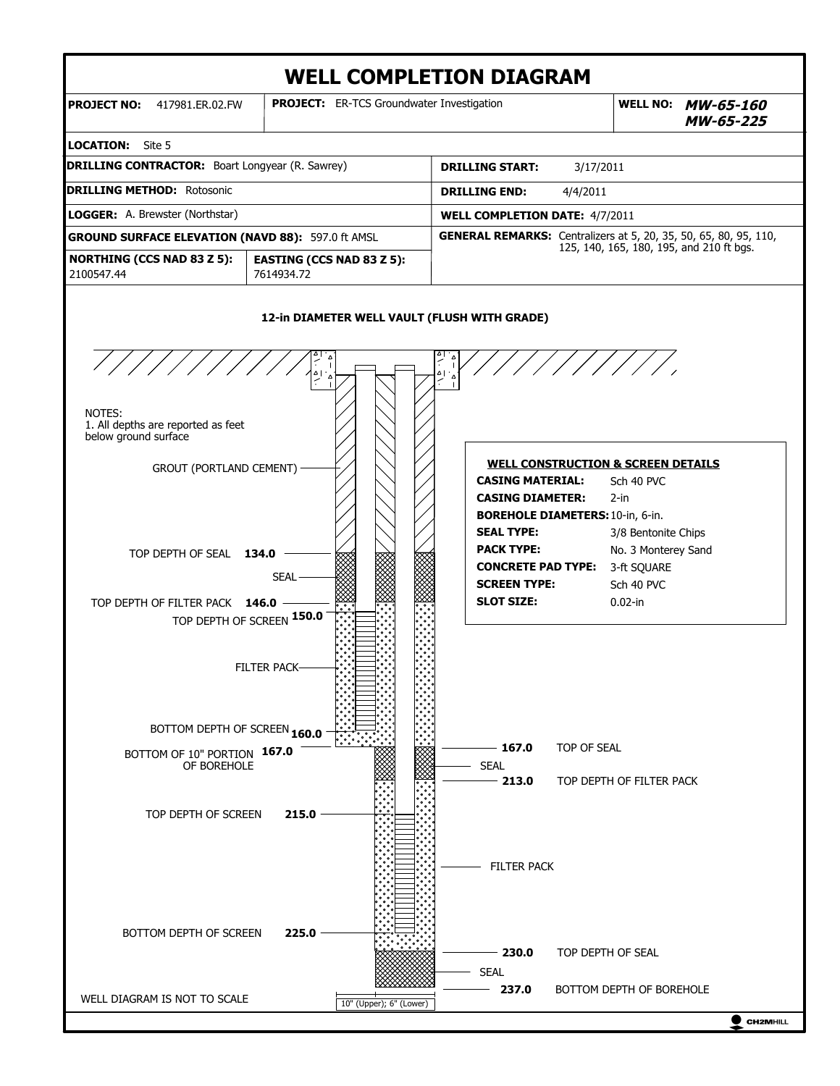

**CH2MHILL**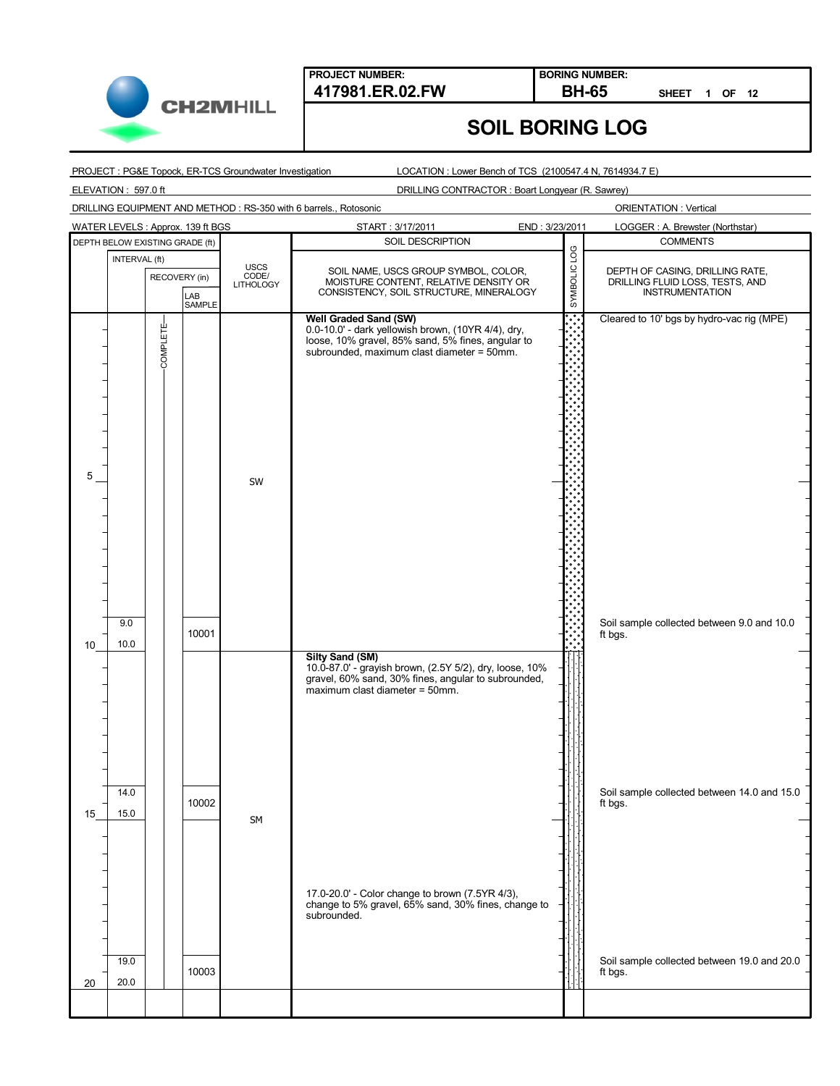

**BORING NUMBER:**

**SHEET 1 OF 12**

# **SOIL BORING LOG**

PROJECT : PG&E Topock, ER-TCS Groundwater Investigation

LOCATION : Lower Bench of TCS (2100547.4 N, 7614934.7 E)

ELEVATION : 597.0 ft

DRILLING CONTRACTOR : Boart Longyear (R. Sawrey)

DRILLING EQUIPMENT AND METHOD : RS-350 with 6 barrels., Rotosonic

|    |                                 |                 | WATER LEVELS: Approx. 139 ft BGS |                                   | START: 3/17/2011                                                                                                                                                                | END: 3/23/2011 | LOGGER: A. Brewster (Northstar)                                                              |
|----|---------------------------------|-----------------|----------------------------------|-----------------------------------|---------------------------------------------------------------------------------------------------------------------------------------------------------------------------------|----------------|----------------------------------------------------------------------------------------------|
|    | DEPTH BELOW EXISTING GRADE (ft) |                 |                                  |                                   | SOIL DESCRIPTION                                                                                                                                                                |                | <b>COMMENTS</b>                                                                              |
|    | INTERVAL (ft)                   | RECOVERY (in)   | LAB<br>SAMPLE                    | <b>USCS</b><br>CODE/<br>LITHOLOGY | SOIL NAME, USCS GROUP SYMBOL, COLOR,<br>MOISTURE CONTENT, RELATIVE DENSITY OR<br>CONSISTENCY, SOIL STRUCTURE, MINERALOGY                                                        | SYMBOLIC LOG   | DEPTH OF CASING, DRILLING RATE,<br>DRILLING FLUID LOSS, TESTS, AND<br><b>INSTRUMENTATION</b> |
| 5  |                                 | <b>COMPLETE</b> |                                  | SW                                | <b>Well Graded Sand (SW)</b><br>0.0-10.0' - dark yellowish brown, (10YR 4/4), dry, loose, 10% gravel, 85% sand, 5% fines, angular to subrounded, maximum clast diameter = 50mm. |                | Cleared to 10' bgs by hydro-vac rig (MPE)                                                    |
| 10 | 9.0<br>10.0                     |                 | 10001                            |                                   |                                                                                                                                                                                 |                | Soil sample collected between 9.0 and 10.0<br>ft bgs.                                        |
|    | 14.0                            |                 |                                  |                                   | <b>Silty Sand (SM)</b><br>10.0-87.0 - grayish brown, (2.5Y 5/2), dry, loose, 10%<br>gravel, 60% sand, 30% fines, angular to subrounded,<br>maximum clast diameter = 50mm.       |                | Soil sample collected between 14.0 and 15.0                                                  |
| 15 | 15.0<br>19.0                    |                 | 10002                            | SM                                | 17.0-20.0' - Color change to brown (7.5YR 4/3),<br>change to 5% gravel, 65% sand, 30% fines, change to<br>subrounded.                                                           |                | ft bgs.<br>Soil sample collected between 19.0 and 20.0                                       |
| 20 | 20.0                            |                 | 10003                            |                                   |                                                                                                                                                                                 |                | ft bgs.                                                                                      |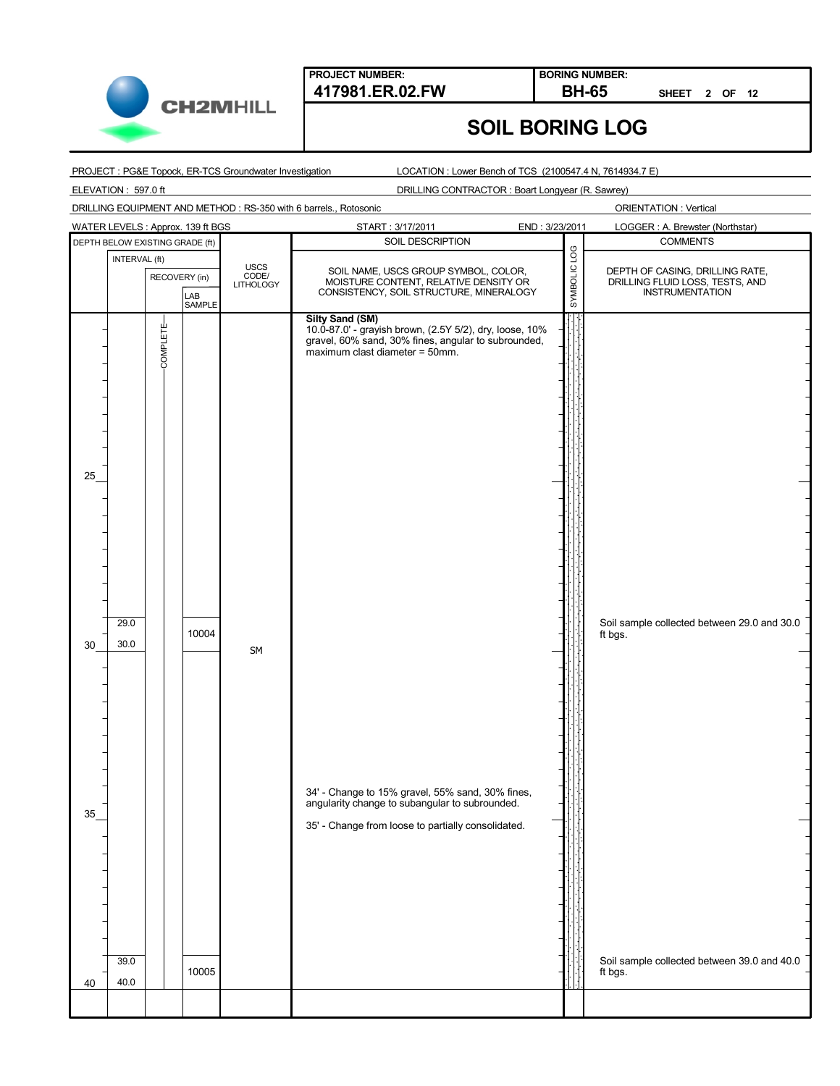

**BORING NUMBER:**

**SHEET 2 OF 12**

## **SOIL BORING LOG**

PROJECT : PG&E Topock, ER-TCS Groundwater Investigation

LOCATION : Lower Bench of TCS (2100547.4 N, 7614934.7 E)

ELEVATION : 597.0 ft

DRILLING CONTRACTOR : Boart Longyear (R. Sawrey)

DRILLING EQUIPMENT AND METHOD : RS-350 with 6 barrels., Rotosonic

|    |                                 |                 | WATER LEVELS : Approx. 139 ft BGS |                                   | START: 3/17/2011                                                                                                                                                           | END: 3/23/2011 |              | LOGGER: A. Brewster (Northstar)                                                              |
|----|---------------------------------|-----------------|-----------------------------------|-----------------------------------|----------------------------------------------------------------------------------------------------------------------------------------------------------------------------|----------------|--------------|----------------------------------------------------------------------------------------------|
|    | DEPTH BELOW EXISTING GRADE (ft) |                 |                                   |                                   | SOIL DESCRIPTION                                                                                                                                                           |                |              | <b>COMMENTS</b>                                                                              |
|    | INTERVAL (ft)                   | RECOVERY (in)   | LAB<br>SAMPLE                     | <b>USCS</b><br>CODE/<br>LITHOLOGY | SOIL NAME, USCS GROUP SYMBOL, COLOR,<br>MOISTURE CONTENT, RELATIVE DENSITY OR<br>CONSISTENCY, SOIL STRUCTURE, MINERALOGY                                                   |                | SYMBOLIC LOG | DEPTH OF CASING, DRILLING RATE,<br>DRILLING FLUID LOSS, TESTS, AND<br><b>INSTRUMENTATION</b> |
| 25 | 29.0                            | <b>COMPLETE</b> |                                   |                                   | <b>Silty Sand (SM)</b><br>10.0-87.0' - grayish brown, (2.5Y 5/2), dry, loose, 10%<br>gravel, 60% sand, 30% fines, angular to subrounded,<br>maximum clast diameter = 50mm. |                |              | Soil sample collected between 29.0 and 30.0                                                  |
| 30 | 30.0                            |                 | 10004                             |                                   |                                                                                                                                                                            |                |              | ft bgs.                                                                                      |
| 35 |                                 |                 |                                   | SM                                | 34' - Change to 15% gravel, 55% sand, 30% fines, angularity change to subangular to subrounded.<br>35' - Change from loose to partially consolidated.                      |                |              |                                                                                              |
| 40 | 39.0<br>40.0                    |                 | 10005                             |                                   |                                                                                                                                                                            |                |              | Soil sample collected between 39.0 and 40.0<br>ft bgs.                                       |
|    |                                 |                 |                                   |                                   |                                                                                                                                                                            |                |              |                                                                                              |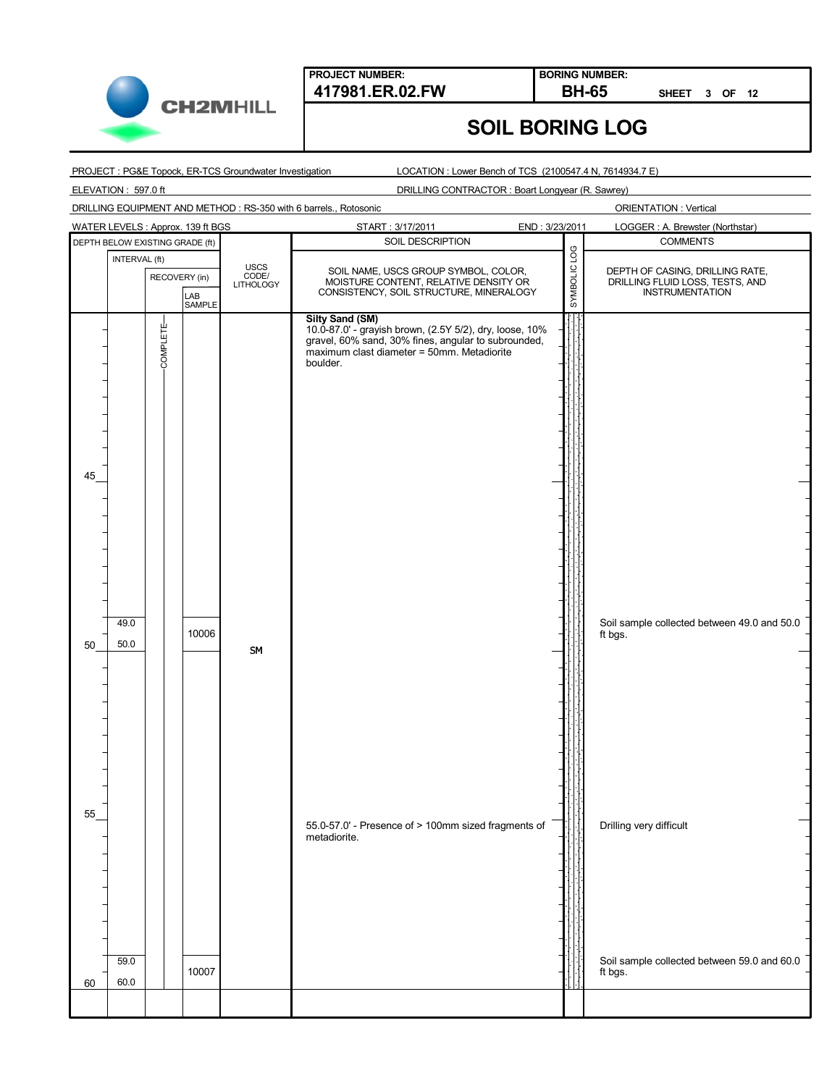

**BORING NUMBER:**

**SHEET 3 OF 12**

## **SOIL BORING LOG**

PROJECT : PG&E Topock, ER-TCS Groundwater Investigation

LOCATION : Lower Bench of TCS (2100547.4 N, 7614934.7 E)

ELEVATION : 597.0 ft

DRILLING CONTRACTOR : Boart Longyear (R. Sawrey)

DRILLING EQUIPMENT AND METHOD : RS-350 with 6 barrels., Rotosonic

| WATER LEVELS : Approx. 139 ft BGS |               |               |                                   | START: 3/17/2011                                                                                                                                                                                   | END: 3/23/2011 |              | LOGGER: A. Brewster (Northstar)                                                              |
|-----------------------------------|---------------|---------------|-----------------------------------|----------------------------------------------------------------------------------------------------------------------------------------------------------------------------------------------------|----------------|--------------|----------------------------------------------------------------------------------------------|
| DEPTH BELOW EXISTING GRADE (ft)   |               |               |                                   | SOIL DESCRIPTION                                                                                                                                                                                   |                |              | <b>COMMENTS</b>                                                                              |
| INTERVAL (ft)                     | RECOVERY (in) | LAB<br>SAMPLE | <b>USCS</b><br>CODE/<br>LITHOLOGY | SOIL NAME, USCS GROUP SYMBOL, COLOR,<br>MOISTURE CONTENT, RELATIVE DENSITY OR<br>CONSISTENCY, SOIL STRUCTURE, MINERALOGY                                                                           |                | SYMBOLIC LOG | DEPTH OF CASING, DRILLING RATE,<br>DRILLING FLUID LOSS, TESTS, AND<br><b>INSTRUMENTATION</b> |
| 45<br>49.0<br>50.0<br>50          | COMPLETE-     | 10006         |                                   | <b>Silty Sand (SM)</b><br>10.0-87.0' - grayish brown, (2.5Y 5/2), dry, loose, 10%<br>gravel, 60% sand, 30% fines, angular to subrounded,<br>maximum clast diameter = 50mm. Metadiorite<br>boulder. |                |              | Soil sample collected between 49.0 and 50.0<br>ft bgs.                                       |
| 55<br>59.0<br>60.0<br>60          |               | 10007         | SM                                | 55.0-57.0' - Presence of > 100mm sized fragments of<br>metadiorite.                                                                                                                                |                |              | Drilling very difficult<br>Soil sample collected between 59.0 and 60.0<br>ft bgs.            |
|                                   |               |               |                                   |                                                                                                                                                                                                    |                |              |                                                                                              |
|                                   |               |               |                                   |                                                                                                                                                                                                    |                |              |                                                                                              |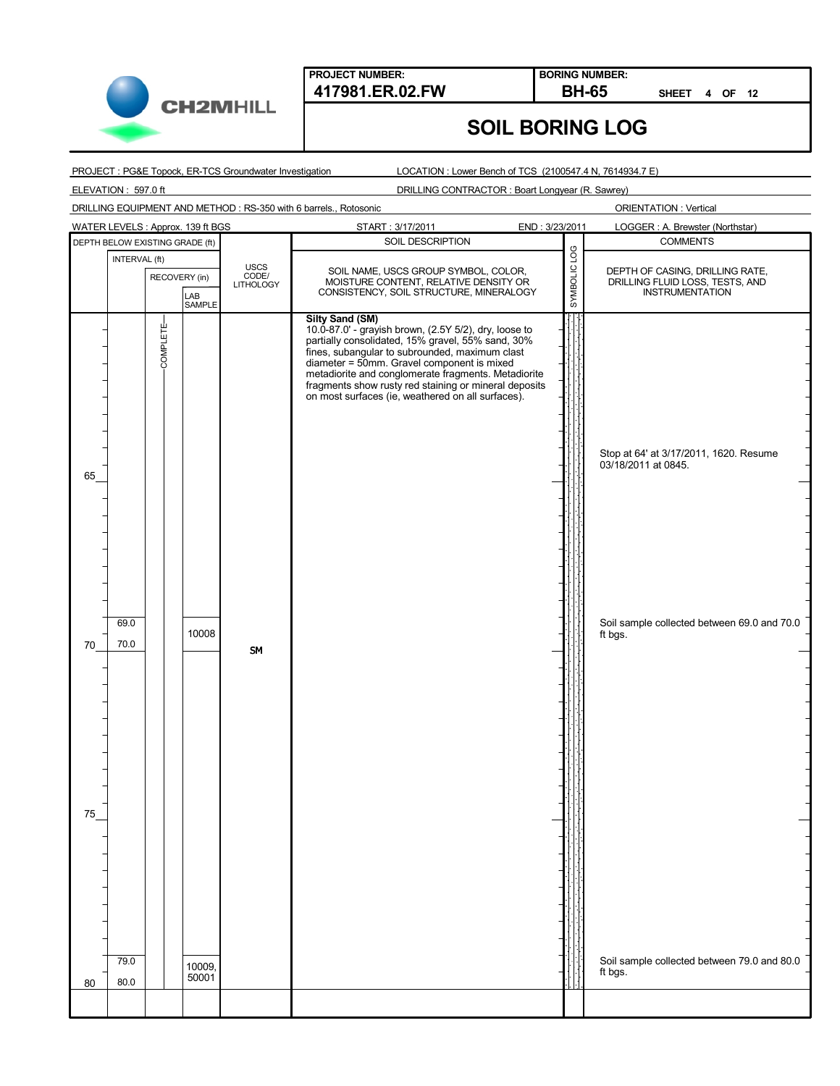

**BORING NUMBER:**

**SHEET 4 OF 12**

## **SOIL BORING LOG**

PROJECT : PG&E Topock, ER-TCS Groundwater Investigation

LOCATION : Lower Bench of TCS (2100547.4 N, 7614934.7 E)

ELEVATION : 597.0 ft

DRILLING CONTRACTOR : Boart Longyear (R. Sawrey)

DRILLING EQUIPMENT AND METHOD : RS-350 with 6 barrels., Rotosonic

| WATER LEVELS: Approx. 139 ft BGS                                                     | START: 3/17/2011<br>END: 3/23/2011                                                                                                                                                                                                                                                                                                                                                                        | LOGGER: A. Brewster (Northstar)                                                                                                                                        |
|--------------------------------------------------------------------------------------|-----------------------------------------------------------------------------------------------------------------------------------------------------------------------------------------------------------------------------------------------------------------------------------------------------------------------------------------------------------------------------------------------------------|------------------------------------------------------------------------------------------------------------------------------------------------------------------------|
| DEPTH BELOW EXISTING GRADE (ft)                                                      | SOIL DESCRIPTION                                                                                                                                                                                                                                                                                                                                                                                          | <b>COMMENTS</b>                                                                                                                                                        |
| INTERVAL (ft)<br><b>USCS</b><br>CODE/<br>LITHOLOGY<br>RECOVERY (in)<br>LAB<br>SAMPLE | SOIL NAME, USCS GROUP SYMBOL, COLOR,<br>MOISTURE CONTENT, RELATIVE DENSITY OR<br>CONSISTENCY, SOIL STRUCTURE, MINERALOGY                                                                                                                                                                                                                                                                                  | SYMBOLIC LOG<br>DEPTH OF CASING, DRILLING RATE,<br>DRILLING FLUID LOSS, TESTS, AND<br><b>INSTRUMENTATION</b>                                                           |
| <b>COMPLETE</b><br>65<br>69.0<br>10008<br>70.0<br>70<br>SM<br>75<br>79.0             | <b>Silty Sand (SM)</b><br>10.0-87.0' - grayish brown, (2.5Y 5/2), dry, loose to<br>partially consolidated, 15% gravel, 55% sand, 30%<br>fines, subangular to subrounded, maximum clast<br>diameter = 50mm. Gravel component is mixed<br>metadiorite and conglomerate fragments. Metadiorite<br>fragments show rusty red staining or mineral deposits<br>on most surfaces (ie, weathered on all surfaces). | Stop at 64' at 3/17/2011, 1620. Resume<br>03/18/2011 at 0845.<br>Soil sample collected between 69.0 and 70.0<br>ft bgs.<br>Soil sample collected between 79.0 and 80.0 |
| 10009.<br>50001<br>80.0<br>80                                                        |                                                                                                                                                                                                                                                                                                                                                                                                           | ft bgs.                                                                                                                                                                |
|                                                                                      |                                                                                                                                                                                                                                                                                                                                                                                                           |                                                                                                                                                                        |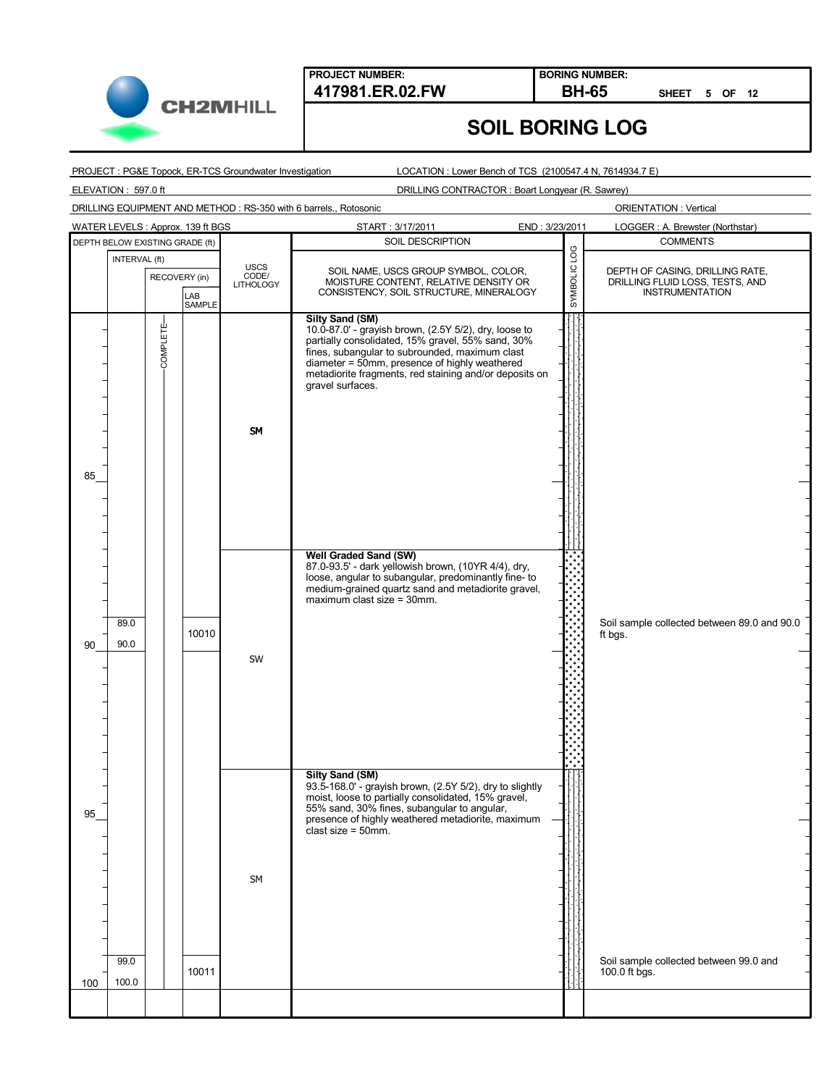

**BORING NUMBER:**

**SHEET 5 OF 12**

## **SOIL BORING LOG**

PROJECT : PG&E Topock, ER-TCS Groundwater Investigation

LOCATION : Lower Bench of TCS (2100547.4 N, 7614934.7 E)

ELEVATION : 597.0 ft

DRILLING CONTRACTOR : Boart Longyear (R. Sawrey)

DRILLING EQUIPMENT AND METHOD : RS-350 with 6 barrels., Rotosonic

| WATER LEVELS: Approx. 139 ft BGS |                                 |                 |               |                                          | START: 3/17/2011                                                                                                                                                                                                                                                                                                      | END: 3/23/2011 |              | LOGGER: A. Brewster (Northstar)                                                              |
|----------------------------------|---------------------------------|-----------------|---------------|------------------------------------------|-----------------------------------------------------------------------------------------------------------------------------------------------------------------------------------------------------------------------------------------------------------------------------------------------------------------------|----------------|--------------|----------------------------------------------------------------------------------------------|
|                                  | DEPTH BELOW EXISTING GRADE (ft) |                 |               |                                          | SOIL DESCRIPTION                                                                                                                                                                                                                                                                                                      |                |              | <b>COMMENTS</b>                                                                              |
|                                  | INTERVAL (ft)                   | RECOVERY (in)   | LAB<br>SAMPLE | <b>USCS</b><br>CODE/<br><b>LITHOLOGY</b> | SOIL NAME, USCS GROUP SYMBOL, COLOR,<br>MOISTURE CONTENT, RELATIVE DENSITY OR<br>CONSISTENCY, SOIL STRUCTURE, MINERALOGY                                                                                                                                                                                              |                | SYMBOLIC LOG | DEPTH OF CASING, DRILLING RATE,<br>DRILLING FLUID LOSS, TESTS, AND<br><b>INSTRUMENTATION</b> |
| 85                               |                                 | <b>COMPLETE</b> |               | <b>SM</b>                                | <b>Silty Sand (SM)</b><br>10.0-87.0' - grayish brown, (2.5Y 5/2), dry, loose to<br>partially consolidated, 15% gravel, 55% sand, 30%<br>fines, subangular to subrounded, maximum clast<br>diameter = 50mm, presence of highly weathered<br>metadiorite fragments, red staining and/or deposits on<br>gravel surfaces. |                |              |                                                                                              |
| 90                               | 89.0<br>90.0                    |                 | 10010         | SW                                       | Well Graded Sand (SW)<br>87.0-93.5' - dark yellowish brown, (10YR 4/4), dry,<br>loose, angular to subangular, predominantly fine- to<br>medium-grained quartz sand and metadiorite gravel,<br>$maximum$ clast size = 30mm.                                                                                            |                |              | Soil sample collected between 89.0 and 90.0<br>ft bgs.                                       |
| 95                               | 99.0                            |                 |               | SM                                       | <b>Silty Sand (SM)</b><br>93.5-168.0' - grayish brown, (2.5Y 5/2), dry to slightly<br>moist, loose to partially consolidated, 15% gravel,<br>55% sand, 30% fines, subangular to angular,<br>presence of highly weathered metadiorite, maximum<br>clast size = $50$ mm.                                                |                |              | Soil sample collected between 99.0 and                                                       |
| 100                              | 100.0                           |                 | 10011         |                                          |                                                                                                                                                                                                                                                                                                                       |                |              | 100.0 ft bgs.                                                                                |
|                                  |                                 |                 |               |                                          |                                                                                                                                                                                                                                                                                                                       |                |              |                                                                                              |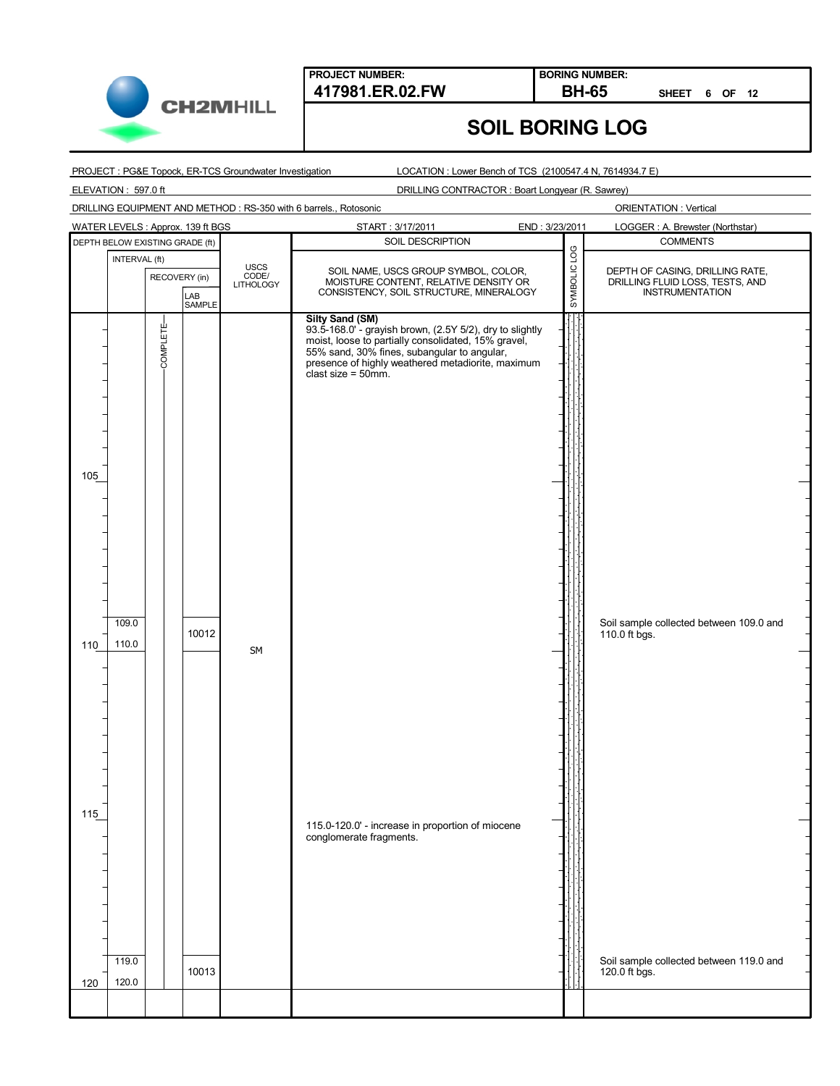

**BORING NUMBER:**

**SHEET 6 OF 12**

## **SOIL BORING LOG**

PROJECT : PG&E Topock, ER-TCS Groundwater Investigation

LOCATION : Lower Bench of TCS (2100547.4 N, 7614934.7 E)

ELEVATION : 597.0 ft

DRILLING CONTRACTOR : Boart Longyear (R. Sawrey)

DRILLING EQUIPMENT AND METHOD : RS-350 with 6 barrels., Rotosonic

|     |                                 |               | WATER LEVELS: Approx. 139 ft BGS |                                   | START: 3/17/2011                                                                                                       | END: 3/23/2011 |              | LOGGER: A. Brewster (Northstar)                                                       |
|-----|---------------------------------|---------------|----------------------------------|-----------------------------------|------------------------------------------------------------------------------------------------------------------------|----------------|--------------|---------------------------------------------------------------------------------------|
|     | DEPTH BELOW EXISTING GRADE (ft) |               |                                  |                                   | SOIL DESCRIPTION                                                                                                       |                |              | <b>COMMENTS</b>                                                                       |
|     | INTERVAL (ft)                   |               |                                  |                                   |                                                                                                                        |                | SYMBOLIC LOG |                                                                                       |
|     |                                 | RECOVERY (in) |                                  | <b>USCS</b><br>CODE/<br>LITHOLOGY | SOIL NAME, USCS GROUP SYMBOL, COLOR,<br>MOISTURE CONTENT, RELATIVE DENSITY OR                                          |                |              | DEPTH OF CASING, DRILLING RATE,<br>DRILLING FLUID LOSS, TESTS, AND<br>INSTRUMENTATION |
|     |                                 |               | LAB                              |                                   | CONSISTENCY, SOIL STRUCTURE, MINERALOGY                                                                                |                |              |                                                                                       |
|     |                                 |               | SAMPLE                           |                                   |                                                                                                                        |                |              |                                                                                       |
|     |                                 |               |                                  |                                   | <b>Silty Sand (SM)</b>                                                                                                 |                |              |                                                                                       |
|     |                                 | COMPLETE-     |                                  |                                   | 93.5-168.0' - grayish brown, (2.5Y 5/2), dry to slightly<br>moist, loose to partially consolidated, 15% gravel,        |                |              |                                                                                       |
|     |                                 |               |                                  |                                   |                                                                                                                        |                |              |                                                                                       |
|     |                                 |               |                                  |                                   | 55% sand, 30% fines, subangular to angular,<br>presence of highly weathered metadiorite, maximum<br>clast size = 50mm. |                |              |                                                                                       |
|     |                                 |               |                                  |                                   |                                                                                                                        |                |              |                                                                                       |
|     |                                 |               |                                  |                                   |                                                                                                                        |                |              |                                                                                       |
|     |                                 |               |                                  |                                   |                                                                                                                        |                |              |                                                                                       |
|     |                                 |               |                                  |                                   |                                                                                                                        |                |              |                                                                                       |
|     |                                 |               |                                  |                                   |                                                                                                                        |                |              |                                                                                       |
|     |                                 |               |                                  |                                   |                                                                                                                        |                |              |                                                                                       |
|     |                                 |               |                                  |                                   |                                                                                                                        |                |              |                                                                                       |
| 105 |                                 |               |                                  |                                   |                                                                                                                        |                |              |                                                                                       |
|     |                                 |               |                                  |                                   |                                                                                                                        |                |              |                                                                                       |
|     |                                 |               |                                  |                                   |                                                                                                                        |                |              |                                                                                       |
|     |                                 |               |                                  |                                   |                                                                                                                        |                |              |                                                                                       |
|     |                                 |               |                                  |                                   |                                                                                                                        |                |              |                                                                                       |
|     |                                 |               |                                  |                                   |                                                                                                                        |                |              |                                                                                       |
|     |                                 |               |                                  |                                   |                                                                                                                        |                |              |                                                                                       |
|     |                                 |               |                                  |                                   |                                                                                                                        |                |              |                                                                                       |
|     |                                 |               |                                  |                                   |                                                                                                                        |                |              |                                                                                       |
|     |                                 |               |                                  |                                   |                                                                                                                        |                |              |                                                                                       |
|     | 109.0                           |               |                                  |                                   |                                                                                                                        |                |              | Soil sample collected between 109.0 and                                               |
|     |                                 |               | 10012                            |                                   |                                                                                                                        |                |              | 110.0 ft bgs.                                                                         |
| 110 | 110.0                           |               |                                  | SM                                |                                                                                                                        |                |              |                                                                                       |
|     |                                 |               |                                  |                                   |                                                                                                                        |                |              |                                                                                       |
|     |                                 |               |                                  |                                   |                                                                                                                        |                |              |                                                                                       |
|     |                                 |               |                                  |                                   |                                                                                                                        |                |              |                                                                                       |
|     |                                 |               |                                  |                                   |                                                                                                                        |                |              |                                                                                       |
|     |                                 |               |                                  |                                   |                                                                                                                        |                |              |                                                                                       |
|     |                                 |               |                                  |                                   |                                                                                                                        |                |              |                                                                                       |
|     |                                 |               |                                  |                                   |                                                                                                                        |                |              |                                                                                       |
|     |                                 |               |                                  |                                   |                                                                                                                        |                |              |                                                                                       |
|     |                                 |               |                                  |                                   |                                                                                                                        |                |              |                                                                                       |
|     |                                 |               |                                  |                                   |                                                                                                                        |                |              |                                                                                       |
| 115 |                                 |               |                                  |                                   |                                                                                                                        |                |              |                                                                                       |
|     |                                 |               |                                  |                                   | 115.0-120.0' - increase in proportion of miocene                                                                       |                |              |                                                                                       |
|     |                                 |               |                                  |                                   | conglomerate fragments.                                                                                                |                |              |                                                                                       |
|     |                                 |               |                                  |                                   |                                                                                                                        |                |              |                                                                                       |
|     |                                 |               |                                  |                                   |                                                                                                                        |                |              |                                                                                       |
|     |                                 |               |                                  |                                   |                                                                                                                        |                |              |                                                                                       |
|     |                                 |               |                                  |                                   |                                                                                                                        |                |              |                                                                                       |
|     |                                 |               |                                  |                                   |                                                                                                                        |                |              |                                                                                       |
|     |                                 |               |                                  |                                   |                                                                                                                        |                |              |                                                                                       |
|     |                                 |               |                                  |                                   |                                                                                                                        |                |              |                                                                                       |
|     | 119.0                           |               |                                  |                                   |                                                                                                                        |                |              | Soil sample collected between 119.0 and                                               |
|     |                                 |               | 10013                            |                                   |                                                                                                                        |                |              | 120.0 ft bgs.                                                                         |
| 120 | 120.0                           |               |                                  |                                   |                                                                                                                        |                |              |                                                                                       |
|     |                                 |               |                                  |                                   |                                                                                                                        |                |              |                                                                                       |
|     |                                 |               |                                  |                                   |                                                                                                                        |                |              |                                                                                       |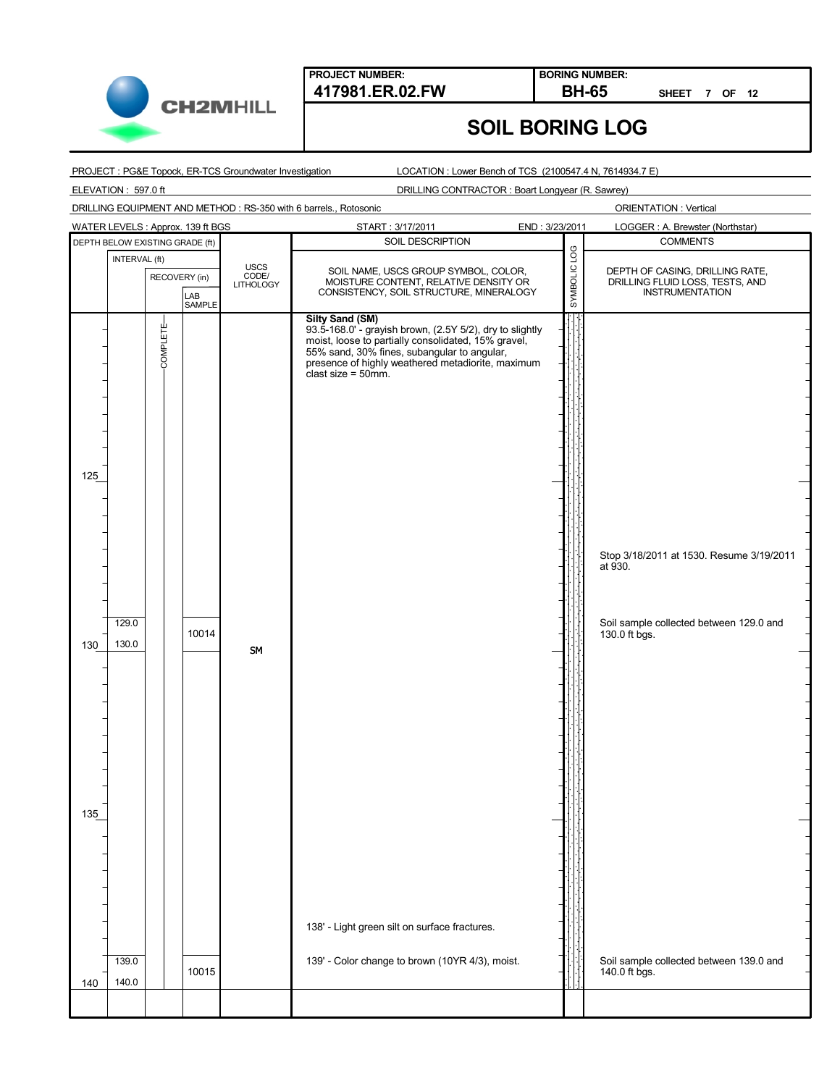

**BORING NUMBER:**

**SHEET 7 OF 12**

# **SOIL BORING LOG**

PROJECT : PG&E Topock, ER-TCS Groundwater Investigation

LOCATION : Lower Bench of TCS (2100547.4 N, 7614934.7 E)

ELEVATION : 597.0 ft

DRILLING CONTRACTOR : Boart Longyear (R. Sawrey)

DRILLING EQUIPMENT AND METHOD : RS-350 with 6 barrels., Rotosonic

|                                                                 | WATER LEVELS: Approx. 139 ft BGS |                                   | START: 3/17/2011<br>END: 3/23/2011                                                                                                                                                                                                                                                                                                                                  |              | LOGGER: A. Brewster (Northstar)                                                                                                                            |
|-----------------------------------------------------------------|----------------------------------|-----------------------------------|---------------------------------------------------------------------------------------------------------------------------------------------------------------------------------------------------------------------------------------------------------------------------------------------------------------------------------------------------------------------|--------------|------------------------------------------------------------------------------------------------------------------------------------------------------------|
| DEPTH BELOW EXISTING GRADE (ft)                                 |                                  |                                   | SOIL DESCRIPTION                                                                                                                                                                                                                                                                                                                                                    |              | <b>COMMENTS</b>                                                                                                                                            |
| INTERVAL (ft)                                                   | RECOVERY (in)<br>LAB<br>SAMPLE   | <b>USCS</b><br>CODE/<br>LITHOLOGY | SOIL NAME, USCS GROUP SYMBOL, COLOR,<br>MOISTURE CONTENT, RELATIVE DENSITY OR<br>CONSISTENCY, SOIL STRUCTURE, MINERALOGY                                                                                                                                                                                                                                            | SYMBOLIC LOG | DEPTH OF CASING, DRILLING RATE,<br>DRILLING FLUID LOSS, TESTS, AND<br><b>INSTRUMENTATION</b>                                                               |
| <b>COMPLETE</b><br>125<br>129.0<br>130.0<br>130<br>135<br>139.0 | 10014                            | SM                                | Silty Sand (SM)<br>93.5-168.0' - grayish brown, (2.5Y 5/2), dry to slightly<br>moist, loose to partially consolidated, 15% gravel,<br>55% sand, 30% fines, subangular to angular,<br>presence of highly weathered metadiorite, maximum<br>clast size = $50$ mm.<br>138' - Light green silt on surface fractures.<br>139' - Color change to brown (10YR 4/3), moist. |              | Stop 3/18/2011 at 1530. Resume 3/19/2011<br>at 930.<br>Soil sample collected between 129.0 and<br>130.0 ft bgs.<br>Soil sample collected between 139.0 and |
| 140.0<br>140                                                    | 10015                            |                                   |                                                                                                                                                                                                                                                                                                                                                                     |              | 140.0 ft bgs.                                                                                                                                              |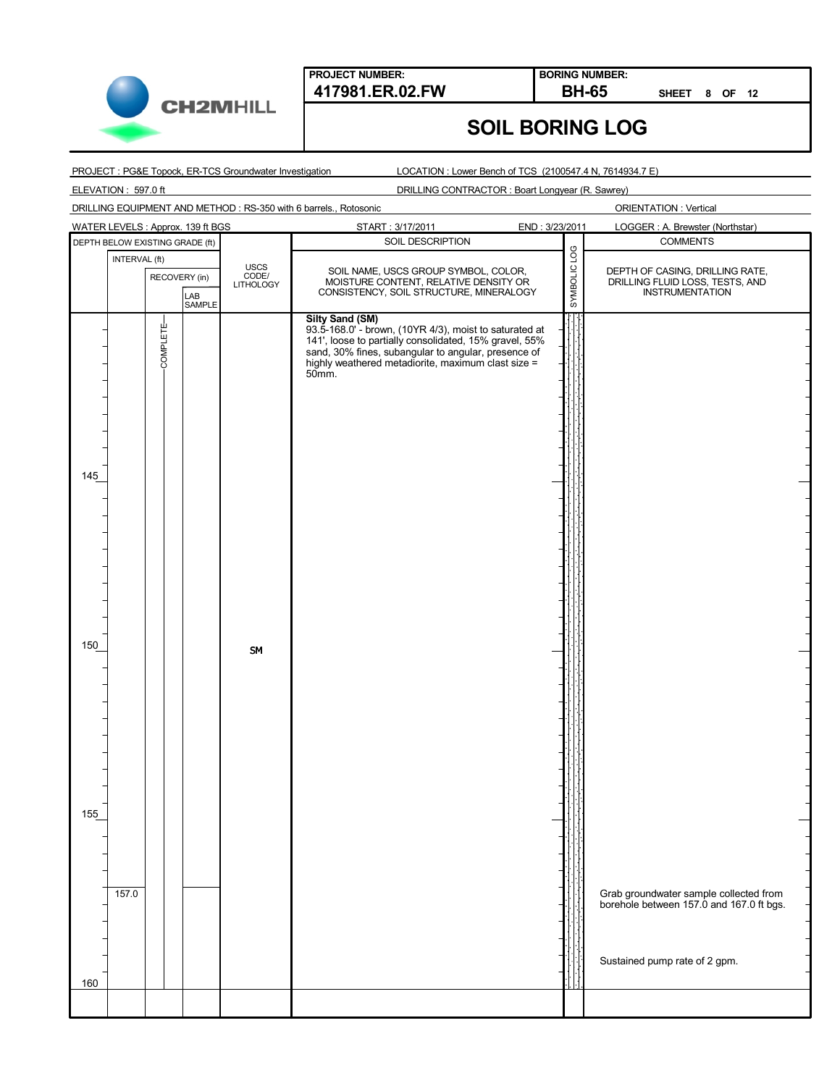

**BORING NUMBER:**

**SHEET 8 OF 12**

### **SOIL BORING LOG**

#### PROJECT : PG&E Topock, ER-TCS Groundwater Investigation

LOCATION : Lower Bench of TCS (2100547.4 N, 7614934.7 E)

ELEVATION : 597.0 ft

DRILLING CONTRACTOR : Boart Longyear (R. Sawrey)

DRILLING EQUIPMENT AND METHOD : RS-350 with 6 barrels., Rotosonic

|     | WATER LEVELS : Approx. 139 ft BGS |               |               |                            | START: 3/17/2011                                                                                                                                                                                                                                                 | END: 3/23/2011 | LOGGER: A. Brewster (Northstar)                                                                                     |
|-----|-----------------------------------|---------------|---------------|----------------------------|------------------------------------------------------------------------------------------------------------------------------------------------------------------------------------------------------------------------------------------------------------------|----------------|---------------------------------------------------------------------------------------------------------------------|
|     | DEPTH BELOW EXISTING GRADE (ft)   |               |               |                            | SOIL DESCRIPTION                                                                                                                                                                                                                                                 |                | <b>COMMENTS</b>                                                                                                     |
|     | INTERVAL (ft)                     | RECOVERY (in) | LAB<br>SAMPLE | USCS<br>CODE/<br>LITHOLOGY | SOIL NAME, USCS GROUP SYMBOL, COLOR,<br>MOISTURE CONTENT, RELATIVE DENSITY OR<br>CONSISTENCY, SOIL STRUCTURE, MINERALOGY                                                                                                                                         | SYMBOLIC LOG   | DEPTH OF CASING, DRILLING RATE,<br>DRILLING FLUID LOSS, TESTS, AND<br><b>INSTRUMENTATION</b>                        |
| 145 |                                   | COMPLETE-     |               |                            | <b>Silty Sand (SM)</b><br>93.5-168.0' - brown, (10YR 4/3), moist to saturated at 141', loose to partially consolidated, 15% gravel, 55%<br>sand, 30% fines, subangular to angular, presence of<br>highly weathered metadiorite, maximum clast size =<br>$50mm$ . |                |                                                                                                                     |
| 150 |                                   |               |               | SM                         |                                                                                                                                                                                                                                                                  |                |                                                                                                                     |
| 155 | 157.0                             |               |               |                            |                                                                                                                                                                                                                                                                  |                | Grab groundwater sample collected from<br>borehole between 157.0 and 167.0 ft bgs.<br>Sustained pump rate of 2 gpm. |
| 160 |                                   |               |               |                            |                                                                                                                                                                                                                                                                  |                |                                                                                                                     |
|     |                                   |               |               |                            |                                                                                                                                                                                                                                                                  |                |                                                                                                                     |
|     |                                   |               |               |                            |                                                                                                                                                                                                                                                                  |                |                                                                                                                     |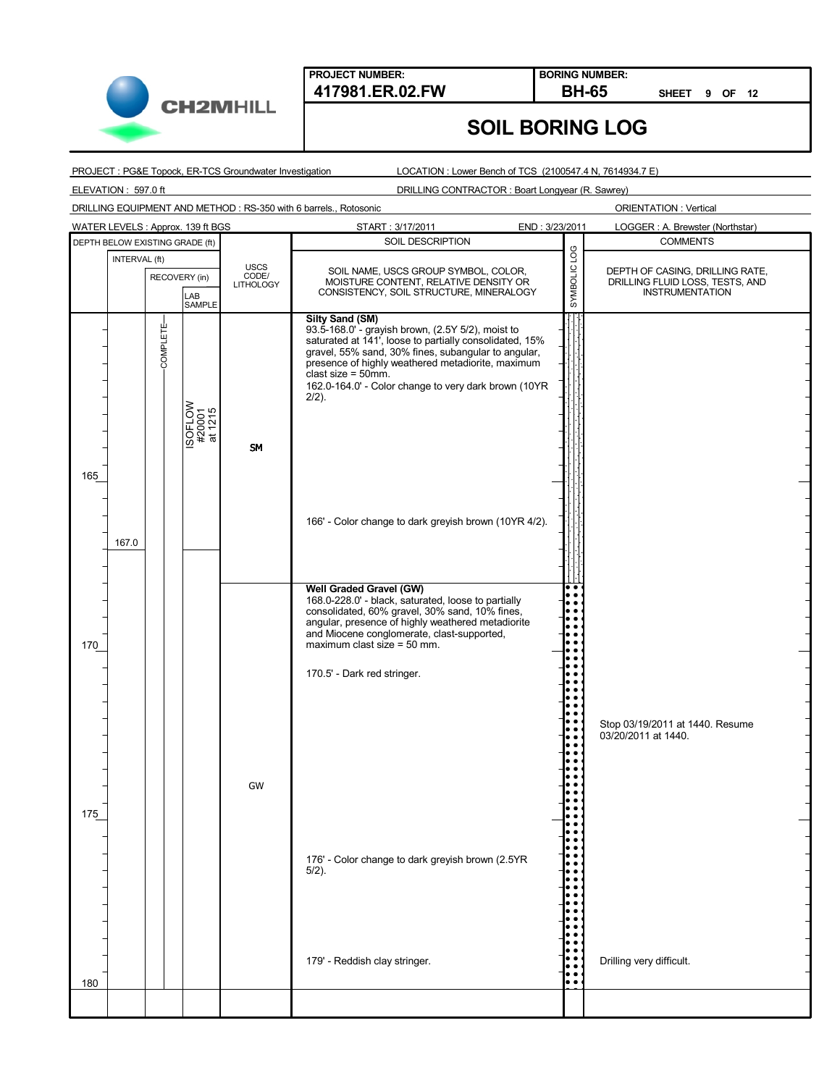

**BORING NUMBER:**

**SHEET 9 OF 12**

## **SOIL BORING LOG**

PROJECT : PG&E Topock, ER-TCS Groundwater Investigation

LOCATION : Lower Bench of TCS (2100547.4 N, 7614934.7 E)

ELEVATION : 597.0 ft

DRILLING CONTRACTOR : Boart Longyear (R. Sawrey)

DRILLING EQUIPMENT AND METHOD : RS-350 with 6 barrels., Rotosonic

|            |                                 |                 | WATER LEVELS: Approx. 139 ft BGS |                                          | START: 3/17/2011<br>END: 3/23/2011                                                                                                                                                                                                                                                                                                                                                                          |                             | LOGGER: A. Brewster (Northstar)                                                              |
|------------|---------------------------------|-----------------|----------------------------------|------------------------------------------|-------------------------------------------------------------------------------------------------------------------------------------------------------------------------------------------------------------------------------------------------------------------------------------------------------------------------------------------------------------------------------------------------------------|-----------------------------|----------------------------------------------------------------------------------------------|
|            | DEPTH BELOW EXISTING GRADE (ft) |                 |                                  |                                          | SOIL DESCRIPTION                                                                                                                                                                                                                                                                                                                                                                                            |                             | <b>COMMENTS</b>                                                                              |
|            | INTERVAL (ft)                   | RECOVERY (in)   | LAB<br><b>SAMPLE</b>             | <b>USCS</b><br>CODE/<br><b>LITHOLOGY</b> | SOIL NAME, USCS GROUP SYMBOL, COLOR,<br>MOISTURE CONTENT, RELATIVE DENSITY OR<br>CONSISTENCY, SOIL STRUCTURE, MINERALOGY                                                                                                                                                                                                                                                                                    | SYMBOLIC LOG                | DEPTH OF CASING, DRILLING RATE,<br>DRILLING FLUID LOSS, TESTS, AND<br><b>INSTRUMENTATION</b> |
| 165        |                                 | <b>COMPLETE</b> | ISOFLOW<br>#20001<br>at 1215     | <b>SM</b>                                | <b>Silty Sand (SM)</b><br>93.5-168.0' - grayish brown, (2.5Y 5/2), moist to<br>saturated at 141', loose to partially consolidated, 15%<br>gravel, 55% sand, 30% fines, subangular to angular,<br>presence of highly weathered metadiorite, maximum<br>clast size = $50$ mm.<br>162.0-164.0' - Color change to very dark brown (10YR<br>$2/2$ ).                                                             |                             |                                                                                              |
|            | 167.0                           |                 |                                  |                                          | 166' - Color change to dark greyish brown (10YR 4/2).                                                                                                                                                                                                                                                                                                                                                       |                             |                                                                                              |
| 170<br>175 |                                 |                 |                                  | GW                                       | <b>Well Graded Gravel (GW)</b><br>168.0-228.0' - black, saturated, loose to partially<br>consolidated, 60% gravel, 30% sand, 10% fines,<br>angular, presence of highly weathered metadiorite<br>and Miocene conglomerate, clast-supported,<br>maximum clast size = $50$ mm.<br>170.5' - Dark red stringer.<br>176' - Color change to dark greyish brown (2.5YR<br>$5/2$ ).<br>179' - Reddish clay stringer. |                             | Stop 03/19/2011 at 1440. Resume<br>03/20/2011 at 1440.<br>Drilling very difficult.           |
| 180        |                                 |                 |                                  |                                          |                                                                                                                                                                                                                                                                                                                                                                                                             | . .<br>$\ddot{\phantom{0}}$ |                                                                                              |
|            |                                 |                 |                                  |                                          |                                                                                                                                                                                                                                                                                                                                                                                                             |                             |                                                                                              |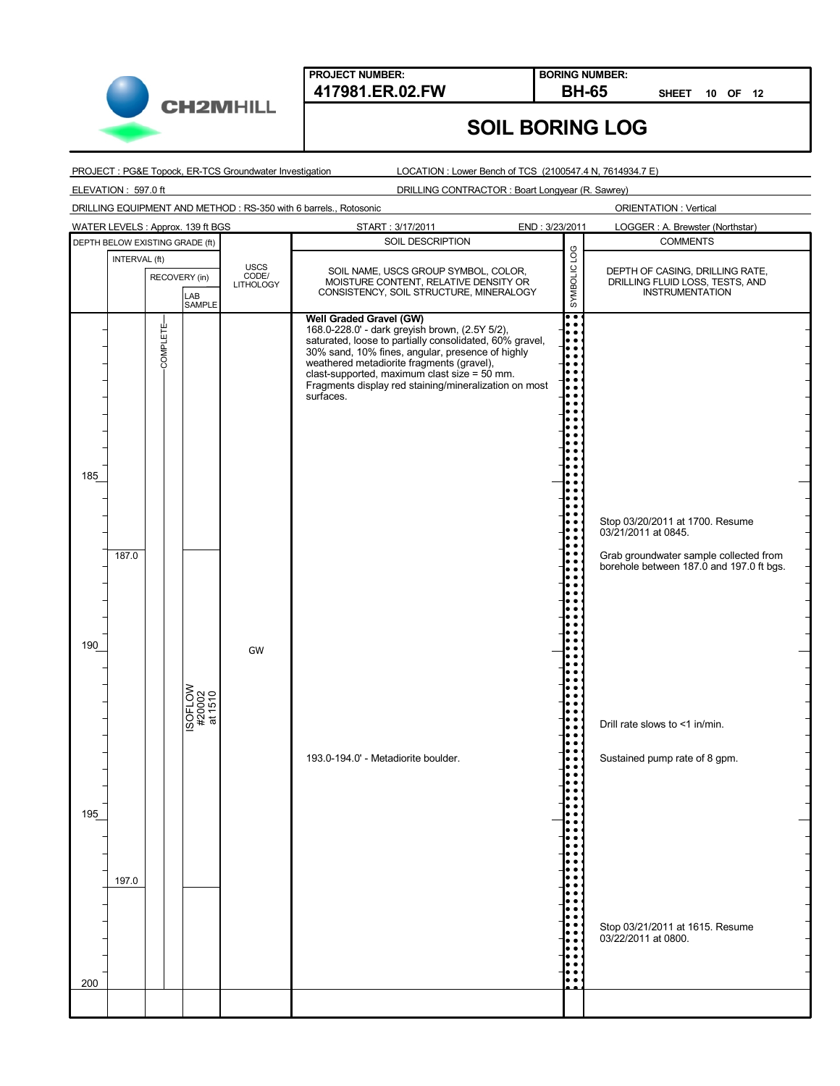

**BORING NUMBER:**

**SHEET 10 OF 12**

#### PROJECT : PG&E Topock, ER-TCS Groundwater Investigation

LOCATION : Lower Bench of TCS (2100547.4 N, 7614934.7 E)

**SOIL BORING LOG**

ELEVATION : 597.0 ft

DRILLING CONTRACTOR : Boart Longyear (R. Sawrey)

DRILLING EQUIPMENT AND METHOD : RS-350 with 6 barrels., Rotosonic

|     |               |                                 | WATER LEVELS: Approx. 139 ft BGS |                            | START: 3/17/2011<br>END: 3/23/2011                                                                                                                                                                                                                                               |              | LOGGER: A. Brewster (Northstar)                                                                                                              |
|-----|---------------|---------------------------------|----------------------------------|----------------------------|----------------------------------------------------------------------------------------------------------------------------------------------------------------------------------------------------------------------------------------------------------------------------------|--------------|----------------------------------------------------------------------------------------------------------------------------------------------|
|     |               | DEPTH BELOW EXISTING GRADE (ft) |                                  |                            | SOIL DESCRIPTION                                                                                                                                                                                                                                                                 |              | <b>COMMENTS</b>                                                                                                                              |
|     | INTERVAL (ft) | RECOVERY (in)                   |                                  | USCS<br>CODE/<br>LITHOLOGY | SOIL NAME, USCS GROUP SYMBOL, COLOR,<br>MOISTURE CONTENT, RELATIVE DENSITY OR<br>CONSISTENCY, SOIL STRUCTURE, MINERALOGY                                                                                                                                                         | SYMBOLIC LOG | DEPTH OF CASING, DRILLING RATE,<br>DRILLING FLUID LOSS, TESTS, AND<br><b>INSTRUMENTATION</b>                                                 |
|     |               |                                 | LAB<br>SAMPLE                    |                            | Well Graded Gravel (GW)<br>168.0-228.0' - dark greyish brown, (2.5Y 5/2),                                                                                                                                                                                                        | $\bullet$    |                                                                                                                                              |
| 185 | 187.0         | COMPLETE                        |                                  |                            | saturated, loose to partially consolidated, 60% gravel,<br>30% sand, 10% fines, angular, presence of highly<br>weathered metadiorite fragments (gravel),<br>clast-supported, maximum clast size = $50$ mm.<br>Fragments display red staining/mineralization on most<br>surfaces. |              | Stop 03/20/2011 at 1700. Resume<br>03/21/2011 at 0845.<br>Grab groundwater sample collected from<br>borehole between 187.0 and 197.0 ft bgs. |
| 190 |               |                                 | ISOFLOW<br>#20002<br>at 1510     | GW                         |                                                                                                                                                                                                                                                                                  |              |                                                                                                                                              |
|     |               |                                 |                                  |                            |                                                                                                                                                                                                                                                                                  |              | Drill rate slows to <1 in/min.                                                                                                               |
| 195 | 197.0         |                                 |                                  |                            | 193.0-194.0' - Metadiorite boulder.                                                                                                                                                                                                                                              |              | Sustained pump rate of 8 gpm.                                                                                                                |
| 200 |               |                                 |                                  |                            |                                                                                                                                                                                                                                                                                  |              | Stop 03/21/2011 at 1615. Resume<br>03/22/2011 at 0800.                                                                                       |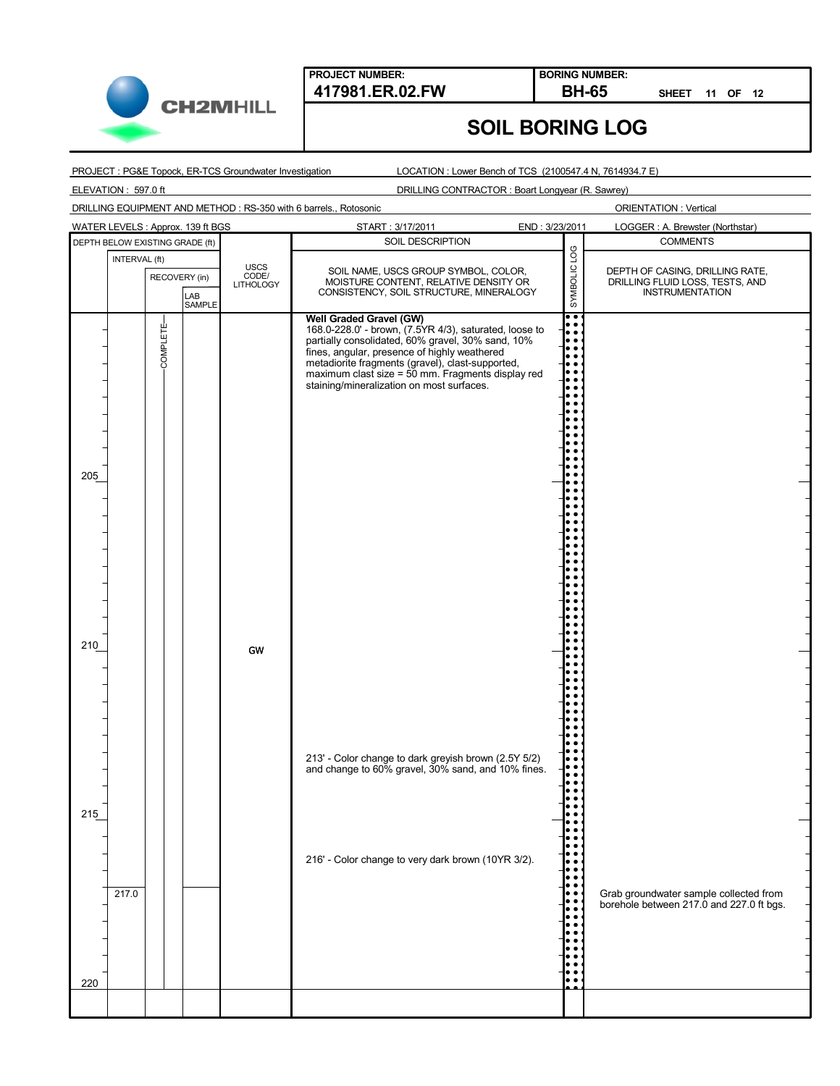

**BORING NUMBER:**

**SHEET 11 OF 12**

# **SOIL BORING LOG**

PROJECT : PG&E Topock, ER-TCS Groundwater Investigation

LOCATION : Lower Bench of TCS (2100547.4 N, 7614934.7 E)

ELEVATION : 597.0 ft

DRILLING CONTRACTOR : Boart Longyear (R. Sawrey)

DRILLING EQUIPMENT AND METHOD : RS-350 with 6 barrels., Rotosonic

| DEPTH BELOW EXISTING GRADE (ft) | INTERVAL (ft) | RECOVERY (in) | LAB<br>SAMPLE | <b>USCS</b><br>CODE/<br>LITHOLOGY | SOIL DESCRIPTION<br>SOIL NAME, USCS GROUP SYMBOL, COLOR,<br>MOISTURE CONTENT, RELATIVE DENSITY OR<br>CONSISTENCY, SOIL STRUCTURE, MINERALOGY                                                                                                                                                                                                 | SYMBOLIC LOG         | <b>COMMENTS</b><br>DEPTH OF CASING, DRILLING RATE,                                 |
|---------------------------------|---------------|---------------|---------------|-----------------------------------|----------------------------------------------------------------------------------------------------------------------------------------------------------------------------------------------------------------------------------------------------------------------------------------------------------------------------------------------|----------------------|------------------------------------------------------------------------------------|
|                                 |               |               |               |                                   |                                                                                                                                                                                                                                                                                                                                              |                      |                                                                                    |
|                                 |               |               |               |                                   |                                                                                                                                                                                                                                                                                                                                              |                      | DRILLING FLUID LOSS, TESTS, AND<br><b>INSTRUMENTATION</b>                          |
| 205                             |               | COMPLETE      |               |                                   | Well Graded Gravel (GW)<br>168.0-228.0' - brown, (7.5YR 4/3), saturated, loose to<br>partially consolidated, 60% gravel, 30% sand, 10%<br>fines, angular, presence of highly weathered<br>metadiorite fragments (gravel), clast-supported,<br>maximum clast size = 50 mm. Fragments display red<br>staining/mineralization on most surfaces. | $\overline{\bullet}$ |                                                                                    |
| 210                             |               |               |               | GW                                |                                                                                                                                                                                                                                                                                                                                              |                      |                                                                                    |
| 215                             |               |               |               |                                   | 213' - Color change to dark greyish brown (2.5Y 5/2)<br>and change to 60% gravel, 30% sand, and 10% fines.<br>216' - Color change to very dark brown (10YR 3/2).                                                                                                                                                                             |                      |                                                                                    |
| 220                             | 217.0         |               |               |                                   |                                                                                                                                                                                                                                                                                                                                              |                      | Grab groundwater sample collected from<br>borehole between 217.0 and 227.0 ft bgs. |